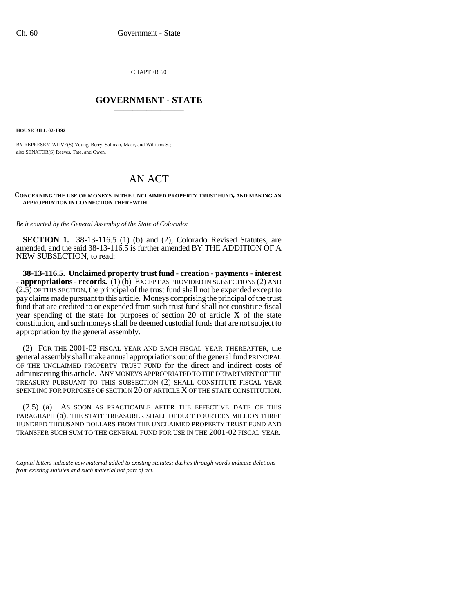CHAPTER 60 \_\_\_\_\_\_\_\_\_\_\_\_\_\_\_

## **GOVERNMENT - STATE** \_\_\_\_\_\_\_\_\_\_\_\_\_\_\_

**HOUSE BILL 02-1392**

BY REPRESENTATIVE(S) Young, Berry, Saliman, Mace, and Williams S.; also SENATOR(S) Reeves, Tate, and Owen.

## AN ACT

## **CONCERNING THE USE OF MONEYS IN THE UNCLAIMED PROPERTY TRUST FUND, AND MAKING AN APPROPRIATION IN CONNECTION THEREWITH.**

*Be it enacted by the General Assembly of the State of Colorado:*

**SECTION 1.** 38-13-116.5 (1) (b) and (2), Colorado Revised Statutes, are amended, and the said 38-13-116.5 is further amended BY THE ADDITION OF A NEW SUBSECTION, to read:

**38-13-116.5. Unclaimed property trust fund - creation - payments - interest - appropriations - records.** (1) (b) EXCEPT AS PROVIDED IN SUBSECTIONS (2) AND  $(2.5)$  OF THIS SECTION, the principal of the trust fund shall not be expended except to pay claims made pursuant to this article. Moneys comprising the principal of the trust fund that are credited to or expended from such trust fund shall not constitute fiscal year spending of the state for purposes of section 20 of article X of the state constitution, and such moneys shall be deemed custodial funds that are not subject to appropriation by the general assembly.

(2) FOR THE 2001-02 FISCAL YEAR AND EACH FISCAL YEAR THEREAFTER, the general assembly shall make annual appropriations out of the general fund PRINCIPAL OF THE UNCLAIMED PROPERTY TRUST FUND for the direct and indirect costs of administering this article. ANY MONEYS APPROPRIATED TO THE DEPARTMENT OF THE TREASURY PURSUANT TO THIS SUBSECTION (2) SHALL CONSTITUTE FISCAL YEAR SPENDING FOR PURPOSES OF SECTION 20 OF ARTICLE X OF THE STATE CONSTITUTION.

PARAGRAPH (a), THE STATE TREASURER SHALL DEDUCT FOURTEEN MILLION THREE (2.5) (a) AS SOON AS PRACTICABLE AFTER THE EFFECTIVE DATE OF THIS HUNDRED THOUSAND DOLLARS FROM THE UNCLAIMED PROPERTY TRUST FUND AND TRANSFER SUCH SUM TO THE GENERAL FUND FOR USE IN THE 2001-02 FISCAL YEAR.

*Capital letters indicate new material added to existing statutes; dashes through words indicate deletions from existing statutes and such material not part of act.*